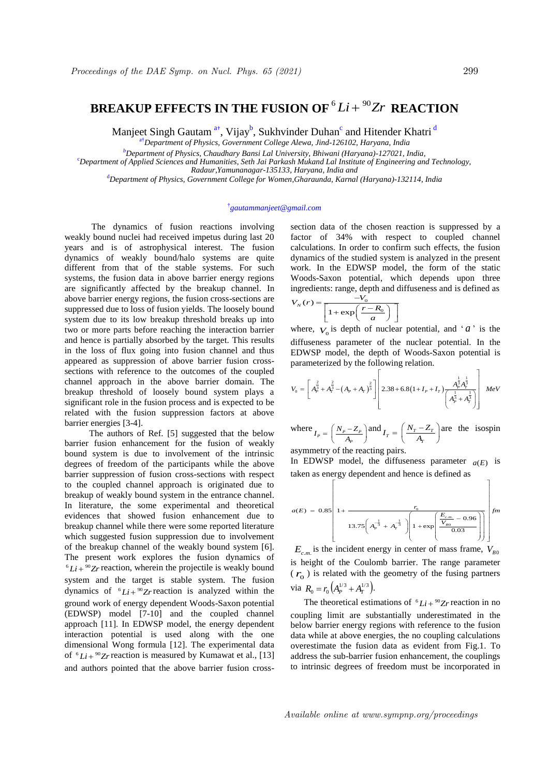## BREAKUP EFFECTS IN THE FUSION OF  ${}^6Li+{}^{90}Zr$  reaction

Manjeet Singh Gautam<sup>at</sup>, Vijay<sup>b</sup>, Sukhvinder Duhan<sup>c</sup> and Hitender Khatri<sup>d</sup>

a†*Department of Physics, Government College Alewa, Jind-126102, Haryana, India*

*<sup>b</sup>Department of Physics, Chaudhary Bansi Lal University, Bhiwani (Haryana)-127021, India,*

<sup>c</sup>*Department of Applied Sciences and Humanities, Seth Jai Parkash Mukand Lal Institute of Engineering and Technology,* 

*Radaur,Yamunanagar-135133, Haryana, India and*

<sup>d</sup>*Department of Physics, Government College for Women,Gharaunda, Karnal (Haryana)-132114, India*

## † *gautammanjeet@gmail.com*

 The dynamics of fusion reactions involving weakly bound nuclei had received impetus during last 20 years and is of astrophysical interest. The fusion dynamics of weakly bound/halo systems are quite different from that of the stable systems. For such systems, the fusion data in above barrier energy regions are significantly affected by the breakup channel. In above barrier energy regions, the fusion cross-sections are suppressed due to loss of fusion yields. The loosely bound system due to its low breakup threshold breaks up into two or more parts before reaching the interaction barrier and hence is partially absorbed by the target. This results in the loss of flux going into fusion channel and thus appeared as suppression of above barrier fusion crosssections with reference to the outcomes of the coupled channel approach in the above barrier domain. The breakup threshold of loosely bound system plays a significant role in the fusion process and is expected to be related with the fusion suppression factors at above barrier energies [3-4].

The authors of Ref. [5] suggested that the below barrier fusion enhancement for the fusion of weakly bound system is due to involvement of the intrinsic degrees of freedom of the participants while the above barrier suppression of fusion cross-sections with respect to the coupled channel approach is originated due to breakup of weakly bound system in the entrance channel. In literature, the some experimental and theoretical evidences that showed fusion enhancement due to breakup channel while there were some reported literature which suggested fusion suppression due to involvement of the breakup channel of the weakly bound system [6]. The present work explores the fusion dynamics of  ${}^{6}Li + {}^{90}Zr$  reaction, wherein the projectile is weakly bound system and the target is stable system. The fusion dynamics of  ${}^6Li + {}^{90}Zr$  reaction is analyzed within the ground work of energy dependent Woods-Saxon potential (EDWSP) model [7-10] and the coupled channel approach [11]. In EDWSP model, the energy dependent interaction potential is used along with the one dimensional Wong formula [12]. The experimental data of  $^{6}Li + ^{90}Zr$  reaction is measured by Kumawat et al., [13] and authors pointed that the above barrier fusion cross-

section data of the chosen reaction is suppressed by a factor of 34% with respect to coupled channel calculations. In order to confirm such effects, the fusion dynamics of the studied system is analyzed in the present work. In the EDWSP model, the form of the static Woods-Saxon potential, which depends upon three ingredients: range, depth and diffuseness and is defined as<br>  $V_N(r) = \frac{-V_0}{\sqrt{r_R R_0}}$ 

$$
V_N(r) = \frac{-V_0}{\left[1 + \exp\left(\frac{r - R_0}{a}\right)\right]}
$$

where,  $V_0$  is depth of nuclear potential, and ' $a$ ' is the diffuseness parameter of the nuclear potential. In the EDWSP model, the depth of Woods-Saxon potential is<br>parameterized by the following relation.

EDWSF inoder, the depth of W00dS-Saxon potential is  
parameterized by the following relation.  

$$
V_0 = \left[ A_p^{\frac{2}{3}} + A_p^{\frac{2}{3}} - (A_p + A_r)^{\frac{2}{3}} \right] \left[ 2.38 + 6.8(1 + I_p + I_r) \frac{A_p^{\frac{1}{3}} A_p^{\frac{1}{3}}}{A_p^{\frac{1}{3}} + A_p^{\frac{1}{3}}} \right] MeV
$$

where  $I_p = \left(\frac{N_p - Z_p}{A_p}\right)$  $I_T = \left(\frac{N_p - Z_p}{A_p}\right)$  and  $I_T = \left(\frac{N_T - Z_T}{A_T}\right)$  $=\left(\frac{N_r - Z_r}{A_r}\right)$ are the isospin

asymmetry of the reacting pairs.

In EDWSP model, the diffuseness parameter  $a(E)$  is taken as energy dependent and hence is defined as taken as energy dependent and hence is defined as model, the diffuseness parameter  $a(E)$  is<br>ergy dependent and hence is defined as

$$
a(E) = 0.85 \left[ 1 + \frac{r_0}{13.75 \left( A_p^{-\frac{1}{3}} + A_r^{-\frac{1}{3}} \right) \left( 1 + \exp\left( \frac{E_{c.m.}}{V_{B0}} - 0.96 \right) \right)} \right] fm
$$

 $E_{c.m.}$  is the incident energy in center of mass frame,  $V_{B0}$ is height of the Coulomb barrier. The range parameter  $(r<sub>o</sub>)$  is related with the geometry of the fusing partners via  $R_0 = r_0 \left( A_p^{1/3} + A_T^{1/3} \right)$ .

The theoretical estimations of  $^{6}Li + ^{90}Zr$  reaction in no coupling limit are substantially underestimated in the below barrier energy regions with reference to the fusion data while at above energies, the no coupling calculations overestimate the fusion data as evident from Fig.1. To address the sub-barrier fusion enhancement, the couplings to intrinsic degrees of freedom must be incorporated in